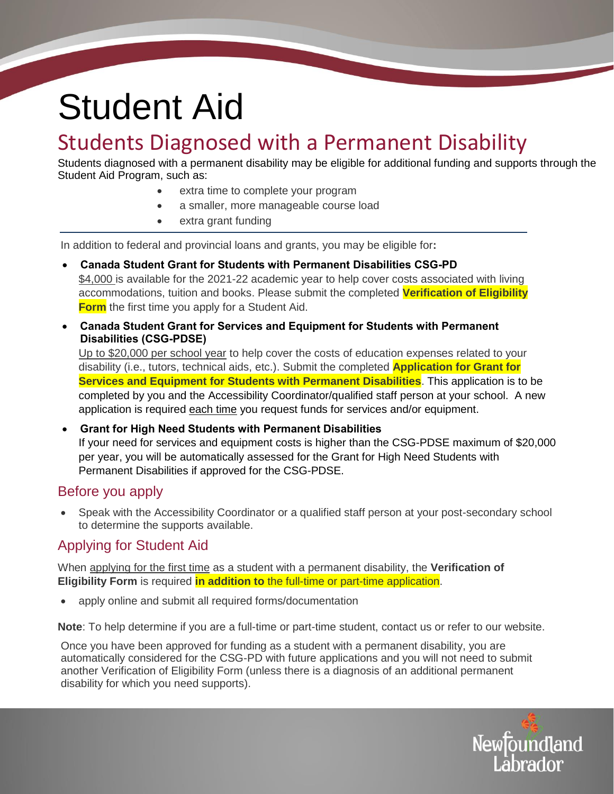# Student Aid

# Students Diagnosed with a Permanent Disability

Students diagnosed with a permanent disability may be eligible for additional funding and supports through the Student Aid Program, such as:

- extra time to complete your program
- a smaller, more manageable course load
- extra grant funding

In addition to federal and provincial loans and grants, you may be eligible for**:** 

- **Canada Student Grant for Students with Permanent Disabilities CSG-PD** \$4,000 is available for the 2021-22 academic year to help cover costs associated with living accommodations, tuition and books. Please submit the completed **Verification of Eligibility Form** the first time you apply for a Student Aid.
- **Canada Student Grant for Services and Equipment for Students with Permanent Disabilities (CSG-PDSE)**

Up to \$20,000 per school year to help cover the costs of education expenses related to your disability (i.e., tutors, technical aids, etc.). Submit the completed **Application for Grant for Services and Equipment for Students with Permanent Disabilities**. This application is to be completed by you and the Accessibility Coordinator/qualified staff person at your school. A new application is required each time you request funds for services and/or equipment.

 **Grant for High Need Students with Permanent Disabilities**  If your need for services and equipment costs is higher than the CSG-PDSE maximum of \$20,000 per year, you will be automatically assessed for the Grant for High Need Students with Permanent Disabilities if approved for the CSG-PDSE.

### Before you apply

 Speak with the Accessibility Coordinator or a qualified staff person at your post-secondary school to determine the supports available.

## Applying for Student Aid

When applying for the first time as a student with a permanent disability, the **Verification of Eligibility Form** is required **in addition to** the full-time or part-time application.

apply online and submit all required forms/documentation

**Note**: To help determine if you are a full-time or part-time student, contact us or refer to our website.

Once you have been approved for funding as a student with a permanent disability, you are automatically considered for the CSG-PD with future applications and you will not need to submit another Verification of Eligibility Form (unless there is a diagnosis of an additional permanent disability for which you need supports).